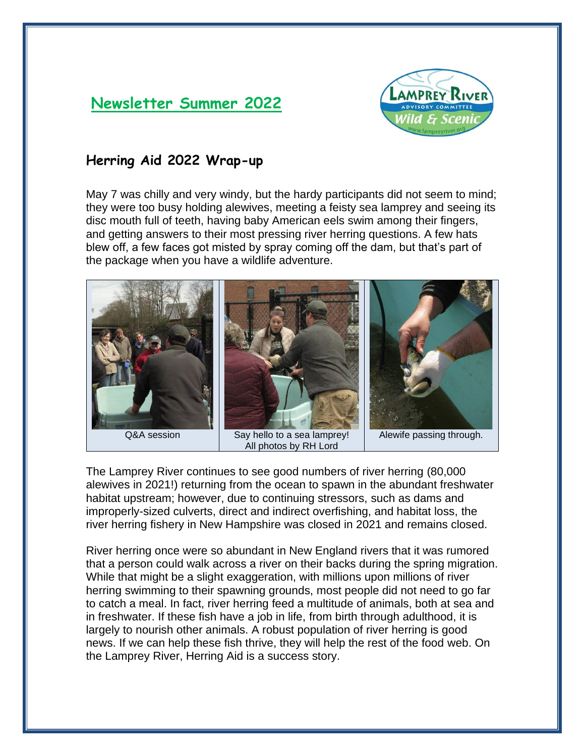## **Newsletter Summer 2022**



## **Herring Aid 2022 Wrap-up**

May 7 was chilly and very windy, but the hardy participants did not seem to mind; they were too busy holding alewives, meeting a feisty sea lamprey and seeing its disc mouth full of teeth, having baby American eels swim among their fingers, and getting answers to their most pressing river herring questions. A few hats blew off, a few faces got misted by spray coming off the dam, but that's part of the package when you have a wildlife adventure.



The Lamprey River continues to see good numbers of river herring (80,000 alewives in 2021!) returning from the ocean to spawn in the abundant freshwater habitat upstream; however, due to continuing stressors, such as dams and improperly-sized culverts, direct and indirect overfishing, and habitat loss, the river herring fishery in New Hampshire was closed in 2021 and remains closed.

River herring once were so abundant in New England rivers that it was rumored that a person could walk across a river on their backs during the spring migration. While that might be a slight exaggeration, with millions upon millions of river herring swimming to their spawning grounds, most people did not need to go far to catch a meal. In fact, river herring feed a multitude of animals, both at sea and in freshwater. If these fish have a job in life, from birth through adulthood, it is largely to nourish other animals. A robust population of river herring is good news. If we can help these fish thrive, they will help the rest of the food web. On the Lamprey River, Herring Aid is a success story.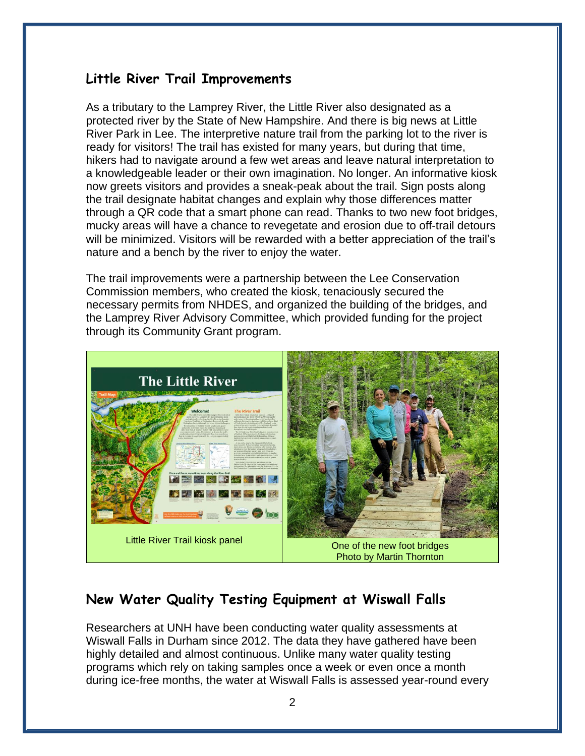## **Little River Trail Improvements**

As a tributary to the Lamprey River, the Little River also designated as a protected river by the State of New Hampshire. And there is big news at Little River Park in Lee. The interpretive nature trail from the parking lot to the river is ready for visitors! The trail has existed for many years, but during that time, hikers had to navigate around a few wet areas and leave natural interpretation to a knowledgeable leader or their own imagination. No longer. An informative kiosk now greets visitors and provides a sneak-peak about the trail. Sign posts along the trail designate habitat changes and explain why those differences matter through a QR code that a smart phone can read. Thanks to two new foot bridges, mucky areas will have a chance to revegetate and erosion due to off-trail detours will be minimized. Visitors will be rewarded with a better appreciation of the trail's nature and a bench by the river to enjoy the water.

The trail improvements were a partnership between the Lee Conservation Commission members, who created the kiosk, tenaciously secured the necessary permits from NHDES, and organized the building of the bridges, and the Lamprey River Advisory Committee, which provided funding for the project through its Community Grant program.



## **New Water Quality Testing Equipment at Wiswall Falls**

Researchers at UNH have been conducting water quality assessments at Wiswall Falls in Durham since 2012. The data they have gathered have been highly detailed and almost continuous. Unlike many water quality testing programs which rely on taking samples once a week or even once a month during ice-free months, the water at Wiswall Falls is assessed year-round every